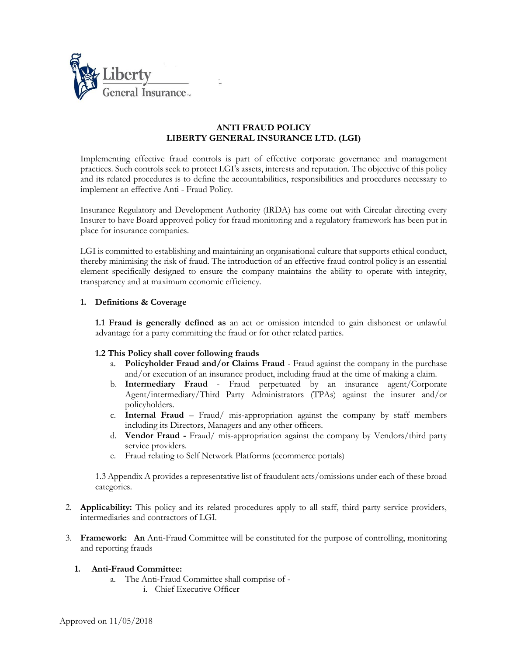

# **ANTI FRAUD POLICY LIBERTY GENERAL INSURANCE LTD. (LGI)**

Implementing effective fraud controls is part of effective corporate governance and management practices. Such controls seek to protect LGI's assets, interests and reputation. The objective of this policy and its related procedures is to define the accountabilities, responsibilities and procedures necessary to implement an effective Anti - Fraud Policy.

Insurance Regulatory and Development Authority (IRDA) has come out with Circular directing every Insurer to have Board approved policy for fraud monitoring and a regulatory framework has been put in place for insurance companies.

LGI is committed to establishing and maintaining an organisational culture that supports ethical conduct, thereby minimising the risk of fraud. The introduction of an effective fraud control policy is an essential element specifically designed to ensure the company maintains the ability to operate with integrity, transparency and at maximum economic efficiency.

### **1. Definitions & Coverage**

**1.1 Fraud is generally defined as** an act or omission intended to gain dishonest or unlawful advantage for a party committing the fraud or for other related parties.

### **1.2 This Policy shall cover following frauds**

- a. **Policyholder Fraud and/or Claims Fraud** Fraud against the company in the purchase and/or execution of an insurance product, including fraud at the time of making a claim.
- b. **Intermediary Fraud** Fraud perpetuated by an insurance agent/Corporate Agent/intermediary/Third Party Administrators (TPAs) against the insurer and/or policyholders.
- c. **Internal Fraud** Fraud/ mis-appropriation against the company by staff members including its Directors, Managers and any other officers.
- d. **Vendor Fraud -** Fraud/ mis-appropriation against the company by Vendors/third party service providers.
- e. Fraud relating to Self Network Platforms (ecommerce portals)

1.3 Appendix A provides a representative list of fraudulent acts/omissions under each of these broad categories.

- 2. **Applicability:** This policy and its related procedures apply to all staff, third party service providers, intermediaries and contractors of LGI.
- 3. **Framework: An** Anti-Fraud Committee will be constituted for the purpose of controlling, monitoring and reporting frauds

### **1. Anti-Fraud Committee:**

- a. The Anti-Fraud Committee shall comprise of
	- i. Chief Executive Officer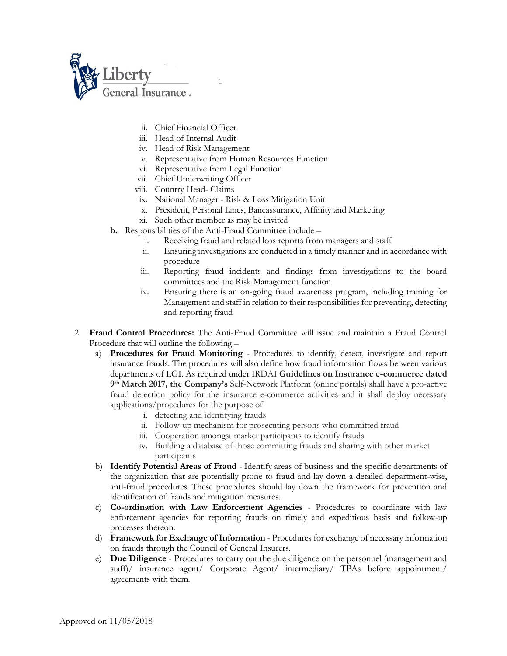

- ii. Chief Financial Officer
- iii. Head of Internal Audit
- iv. Head of Risk Management
- v. Representative from Human Resources Function
- vi. Representative from Legal Function
- vii. Chief Underwriting Officer
- viii. Country Head- Claims
	- ix. National Manager Risk & Loss Mitigation Unit
	- x. President, Personal Lines, Bancassurance, Affinity and Marketing
	- xi. Such other member as may be invited
- **b.** Responsibilities of the Anti-Fraud Committee include
	- i. Receiving fraud and related loss reports from managers and staff
	- ii. Ensuring investigations are conducted in a timely manner and in accordance with procedure
	- iii. Reporting fraud incidents and findings from investigations to the board committees and the Risk Management function
	- iv. Ensuring there is an on-going fraud awareness program, including training for Management and staff in relation to their responsibilities for preventing, detecting and reporting fraud
- 2. **Fraud Control Procedures:** The Anti-Fraud Committee will issue and maintain a Fraud Control Procedure that will outline the following –
	- a) **Procedures for Fraud Monitoring** Procedures to identify, detect, investigate and report insurance frauds. The procedures will also define how fraud information flows between various departments of LGI. As required under IRDAI **Guidelines on Insurance e-commerce dated 9th March 2017, the Company's** Self-Network Platform (online portals) shall have a pro-active fraud detection policy for the insurance e-commerce activities and it shall deploy necessary applications/procedures for the purpose of
		- i. detecting and identifying frauds
		- ii. Follow-up mechanism for prosecuting persons who committed fraud
		- iii. Cooperation amongst market participants to identify frauds
		- iv. Building a database of those committing frauds and sharing with other market participants
	- b) **Identify Potential Areas of Fraud** Identify areas of business and the specific departments of the organization that are potentially prone to fraud and lay down a detailed department-wise, anti-fraud procedures. These procedures should lay down the framework for prevention and identification of frauds and mitigation measures.
	- c) **Co-ordination with Law Enforcement Agencies** Procedures to coordinate with law enforcement agencies for reporting frauds on timely and expeditious basis and follow-up processes thereon.
	- d) **Framework for Exchange of Information** Procedures for exchange of necessary information on frauds through the Council of General Insurers.
	- e) **Due Diligence** Procedures to carry out the due diligence on the personnel (management and staff)/ insurance agent/ Corporate Agent/ intermediary/ TPAs before appointment/ agreements with them.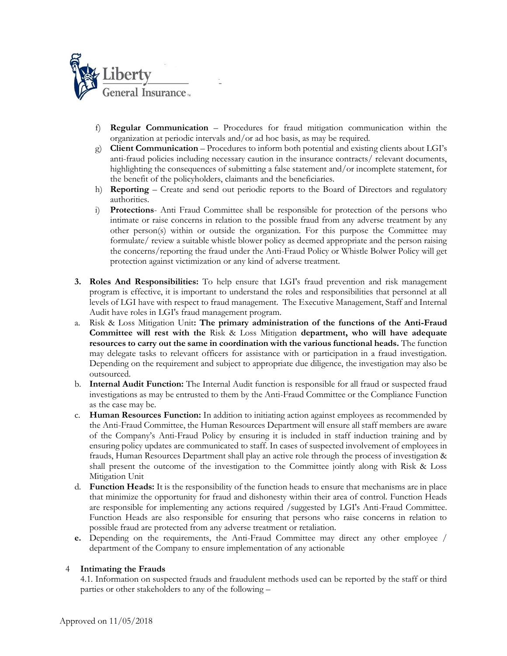

- f) **Regular Communication**  Procedures for fraud mitigation communication within the organization at periodic intervals and/or ad hoc basis, as may be required.
- g) **Client Communication**  Procedures to inform both potential and existing clients about LGI's anti-fraud policies including necessary caution in the insurance contracts/ relevant documents, highlighting the consequences of submitting a false statement and/or incomplete statement, for the benefit of the policyholders, claimants and the beneficiaries.
- h) **Reporting**  Create and send out periodic reports to the Board of Directors and regulatory authorities.
- i) **Protections** Anti Fraud Committee shall be responsible for protection of the persons who intimate or raise concerns in relation to the possible fraud from any adverse treatment by any other person(s) within or outside the organization. For this purpose the Committee may formulate/ review a suitable whistle blower policy as deemed appropriate and the person raising the concerns/reporting the fraud under the Anti-Fraud Policy or Whistle Bolwer Policy will get protection against victimization or any kind of adverse treatment.
- **3. Roles And Responsibilities:** To help ensure that LGI's fraud prevention and risk management program is effective, it is important to understand the roles and responsibilities that personnel at all levels of LGI have with respect to fraud management. The Executive Management, Staff and Internal Audit have roles in LGI's fraud management program.
- a. Risk & Loss Mitigation Unit**: The primary administration of the functions of the Anti-Fraud Committee will rest with the** Risk & Loss Mitigation **department, who will have adequate resources to carry out the same in coordination with the various functional heads.** The function may delegate tasks to relevant officers for assistance with or participation in a fraud investigation. Depending on the requirement and subject to appropriate due diligence, the investigation may also be outsourced.
- b. **Internal Audit Function:** The Internal Audit function is responsible for all fraud or suspected fraud investigations as may be entrusted to them by the Anti-Fraud Committee or the Compliance Function as the case may be.
- c. **Human Resources Function:** In addition to initiating action against employees as recommended by the Anti-Fraud Committee, the Human Resources Department will ensure all staff members are aware of the Company's Anti-Fraud Policy by ensuring it is included in staff induction training and by ensuring policy updates are communicated to staff. In cases of suspected involvement of employees in frauds, Human Resources Department shall play an active role through the process of investigation & shall present the outcome of the investigation to the Committee jointly along with Risk & Loss Mitigation Unit
- d. **Function Heads:** It is the responsibility of the function heads to ensure that mechanisms are in place that minimize the opportunity for fraud and dishonesty within their area of control. Function Heads are responsible for implementing any actions required /suggested by LGI's Anti-Fraud Committee. Function Heads are also responsible for ensuring that persons who raise concerns in relation to possible fraud are protected from any adverse treatment or retaliation.
- **e.** Depending on the requirements, the Anti-Fraud Committee may direct any other employee / department of the Company to ensure implementation of any actionable

# 4 **Intimating the Frauds**

4.1. Information on suspected frauds and fraudulent methods used can be reported by the staff or third parties or other stakeholders to any of the following –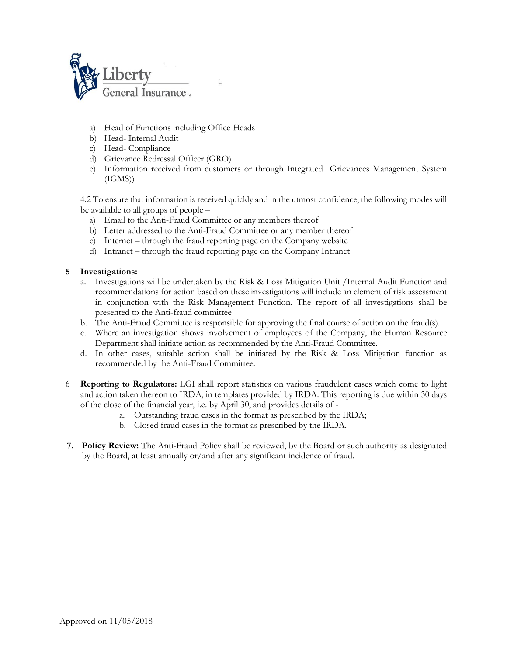

- a) Head of Functions including Office Heads
- b) Head- Internal Audit
- c) Head- Compliance
- d) Grievance Redressal Officer (GRO)
- e) Information received from customers or through Integrated Grievances Management System (IGMS))

4.2 To ensure that information is received quickly and in the utmost confidence, the following modes will be available to all groups of people –

- a) Email to the Anti-Fraud Committee or any members thereof
- b) Letter addressed to the Anti-Fraud Committee or any member thereof
- c) Internet through the fraud reporting page on the Company website
- d) Intranet through the fraud reporting page on the Company Intranet

### **5 Investigations:**

- a. Investigations will be undertaken by the Risk & Loss Mitigation Unit /Internal Audit Function and recommendations for action based on these investigations will include an element of risk assessment in conjunction with the Risk Management Function. The report of all investigations shall be presented to the Anti-fraud committee
- b. The Anti-Fraud Committee is responsible for approving the final course of action on the fraud(s).
- c. Where an investigation shows involvement of employees of the Company, the Human Resource Department shall initiate action as recommended by the Anti-Fraud Committee.
- d. In other cases, suitable action shall be initiated by the Risk & Loss Mitigation function as recommended by the Anti-Fraud Committee.
- 6 **Reporting to Regulators:** LGI shall report statistics on various fraudulent cases which come to light and action taken thereon to IRDA, in templates provided by IRDA. This reporting is due within 30 days of the close of the financial year, i.e. by April 30, and provides details of
	- a. Outstanding fraud cases in the format as prescribed by the IRDA;
	- b. Closed fraud cases in the format as prescribed by the IRDA.
- **7. Policy Review:** The Anti-Fraud Policy shall be reviewed, by the Board or such authority as designated by the Board, at least annually or/and after any significant incidence of fraud.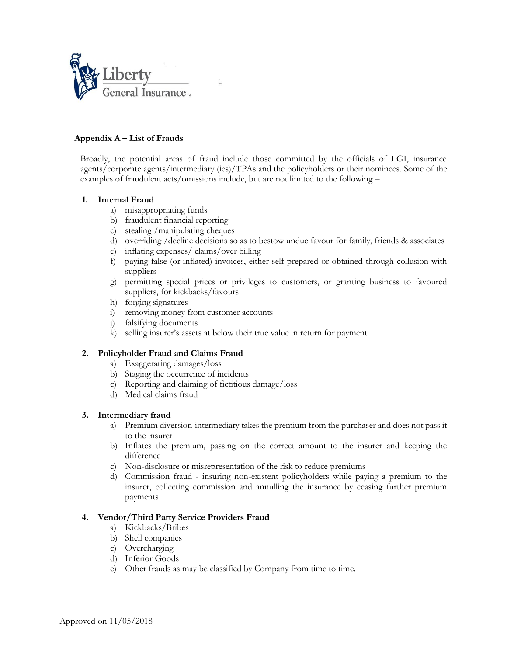

### **Appendix A – List of Frauds**

Broadly, the potential areas of fraud include those committed by the officials of LGI, insurance agents/corporate agents/intermediary (ies)/TPAs and the policyholders or their nominees. Some of the examples of fraudulent acts/omissions include, but are not limited to the following –

### **1. Internal Fraud**

- a) misappropriating funds
- b) fraudulent financial reporting
- c) stealing /manipulating cheques
- d) overriding /decline decisions so as to bestow undue favour for family, friends & associates
- e) inflating expenses/ claims/over billing
- f) paying false (or inflated) invoices, either self-prepared or obtained through collusion with suppliers
- g) permitting special prices or privileges to customers, or granting business to favoured suppliers, for kickbacks/favours
- h) forging signatures
- i) removing money from customer accounts
- j) falsifying documents
- k) selling insurer's assets at below their true value in return for payment.

# **2. Policyholder Fraud and Claims Fraud**

- a) Exaggerating damages/loss
- b) Staging the occurrence of incidents
- c) Reporting and claiming of fictitious damage/loss
- d) Medical claims fraud

### **3. Intermediary fraud**

- a) Premium diversion-intermediary takes the premium from the purchaser and does not pass it to the insurer
- b) Inflates the premium, passing on the correct amount to the insurer and keeping the difference
- c) Non-disclosure or misrepresentation of the risk to reduce premiums
- d) Commission fraud insuring non-existent policyholders while paying a premium to the insurer, collecting commission and annulling the insurance by ceasing further premium payments

### **4. Vendor/Third Party Service Providers Fraud**

- a) Kickbacks/Bribes
- b) Shell companies
- c) Overcharging
- d) Inferior Goods
- e) Other frauds as may be classified by Company from time to time.